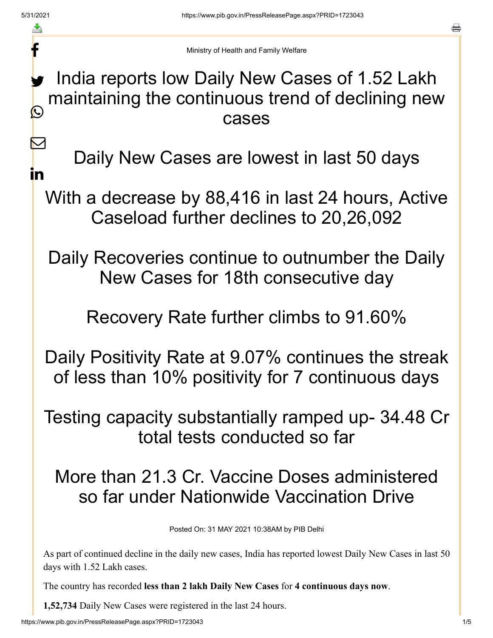f

 $\bm \nabla$ 

in

a

Ministry of Health and Family Welfare

## India reports low Daily New Cases of 1.52 Lakh maintaining the continuous trend of declining new cases y.  $\bigcirc$

Daily New Cases are lowest in last 50 days

With a decrease by 88,416 in last 24 hours, Active Caseload further declines to 20,26,092

Daily Recoveries continue to outnumber the Daily New Cases for 18th consecutive day

Recovery Rate further climbs to 91.60%

Daily Positivity Rate at 9.07% continues the streak of less than 10% positivity for 7 continuous days

Testing capacity substantially ramped up- 34.48 Cr total tests conducted so far

More than 21.3 Cr. Vaccine Doses administered so far under Nationwide Vaccination Drive

Posted On: 31 MAY 2021 10:38AM by PIB Delhi

As part of continued decline in the daily new cases, India has reported lowest Daily New Cases in last 50 days with 1.52 Lakh cases.

The country has recorded **less than 2 lakh Daily New Cases** for **4 continuous days now**.

**1,52,734** Daily New Cases were registered in the last 24 hours.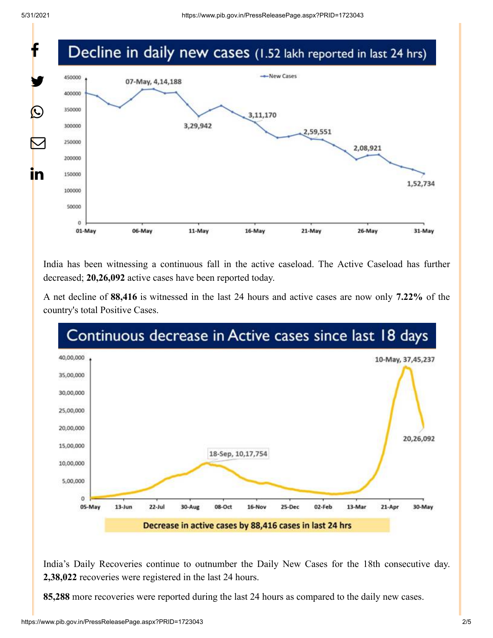

India has been witnessing a continuous fall in the active caseload. The Active Caseload has further decreased; **20,26,092** active cases have been reported today.

A net decline of **88,416** is witnessed in the last 24 hours and active cases are now only **7.22%** of the country's total Positive Cases.



India's Daily Recoveries continue to outnumber the Daily New Cases for the 18th consecutive day. **2,38,022** recoveries were registered in the last 24 hours.

**85,288** more recoveries were reported during the last 24 hours as compared to the daily new cases.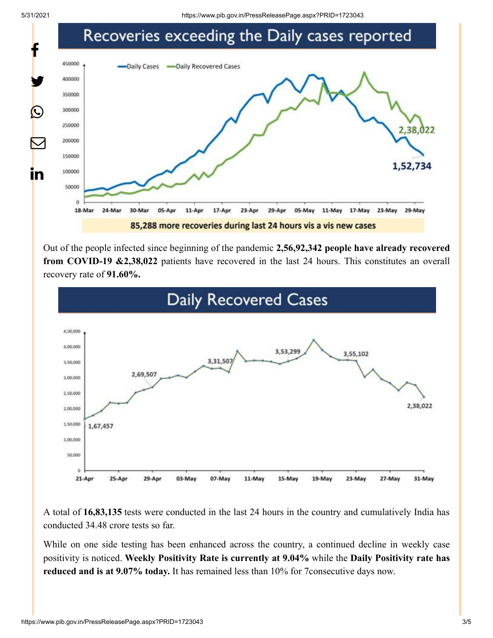

Out of the people infected since beginning of the pandemic **2,56,92,342 people have already recovered from COVID-19 &2,38,022** patients have recovered in the last 24 hours. This constitutes an overall recovery rate of **91.60%.**



A total of **16,83,135** tests were conducted in the last 24 hours in the country and cumulatively India has conducted 34.48 crore tests so far.

While on one side testing has been enhanced across the country, a continued decline in weekly case positivity is noticed. **Weekly Positivity Rate is currently at 9.04%** while the **Daily Positivity rate has reduced and is at 9.07% today.** It has remained less than 10% for 7consecutive days now.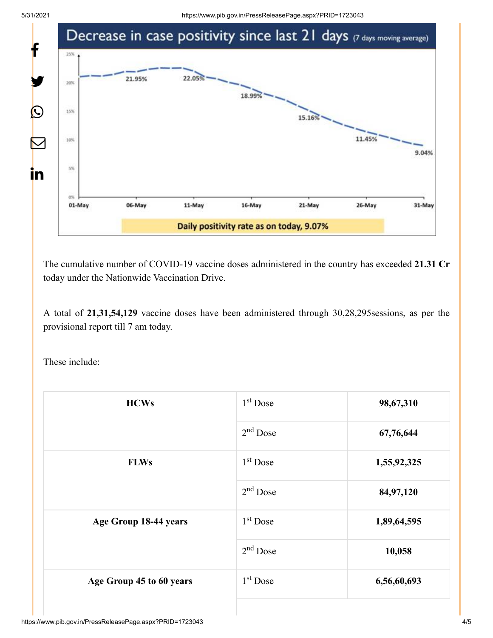

The cumulative number of COVID-19 vaccine doses administered in the country has exceeded **21.31 Cr** today under the Nationwide Vaccination Drive.

A total of **21,31,54,129** vaccine doses have been administered through 30,28,295sessions, as per the provisional report till 7 am today.

These include:

| <b>HCWs</b>              | $1st$ Dose | 98,67,310   |
|--------------------------|------------|-------------|
|                          | $2nd$ Dose | 67,76,644   |
| <b>FLWs</b>              | $1st$ Dose | 1,55,92,325 |
|                          | $2nd$ Dose | 84,97,120   |
| Age Group 18-44 years    | $1st$ Dose | 1,89,64,595 |
|                          | $2nd$ Dose | 10,058      |
| Age Group 45 to 60 years | $1st$ Dose | 6,56,60,693 |
|                          |            |             |